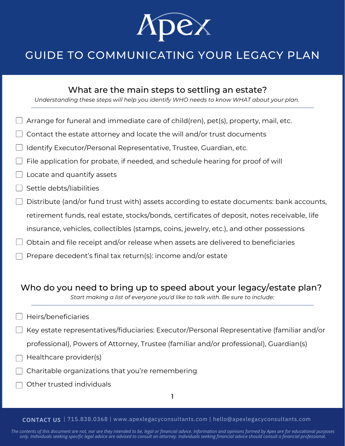

# GUIDE TO COMMUNICATING YOUR LEGACY PLAN

## What are the main steps to settling an estate?

*Understanding these steps will help you identify WHO needs to know WHAT about your plan.*

- Arrange for funeral and immediate care of child(ren), pet(s), property, mail, etc.
- Contact the estate attorney and locate the will and/or trust documents
- Identify Executor/Personal Representative, Trustee, Guardian, etc.
- File application for probate, if needed, and schedule hearing for proof of will
- Locate and quantify assets
- Settle debts/liabilities
- $\Box$  Distribute (and/or fund trust with) assets according to estate documents: bank accounts, retirement funds, real estate, stocks/bonds, certificates of deposit, notes receivable, life insurance, vehicles, collectibles (stamps, coins, jewelry, etc.), and other possessions
- $\Box$  Obtain and file receipt and/or release when assets are delivered to beneficiaries
- Prepare decedent's final tax return(s): income and/or estate

## Who do you need to bring up to speed about your legacy/estate plan?

*Start making a list of everyone you'd like to talk with. Be sure to include:*

- Heirs/beneficiaries
- Key estate representatives/fiduciaries: Executor/Personal Representative (familiar and/or
	- professional), Powers of Attorney, Trustee (familiar and/or professional), Guardian(s)
- Healthcare provider(s)
- Charitable organizations that you're remembering
- Other trusted individuals

1

#### **CONTACT US** | 715.838.0368 | www.apexlegacyconsultants.com | hello@apexlegacyconsultants.com

The contents of this document are not, nor are they intended to be, legal or financial advice. Information and opinions formed by Apex are for educational purposes only. Individuals seeking specific legal advice are advised to consult an attorney. Individuals seeking financial advice should consult a financial professional.